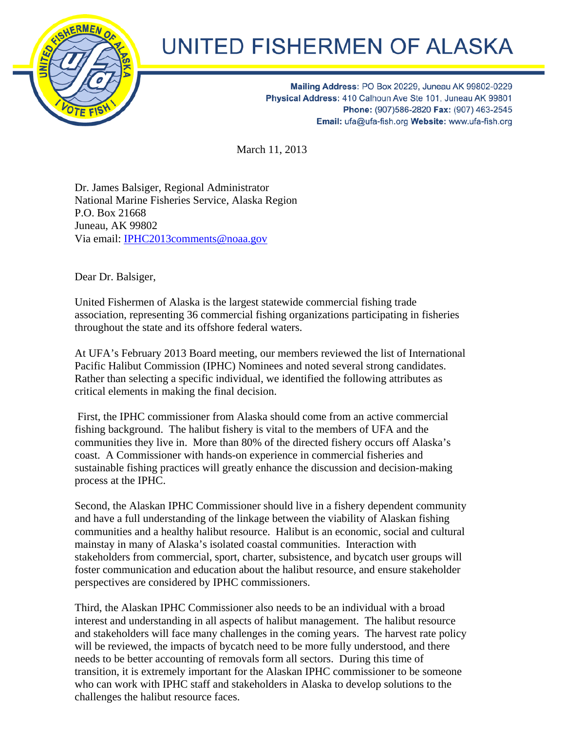

## **UNITED FISHERMEN OF ALASKA**

Mailing Address: PO Box 20229, Juneau AK 99802-0229 Physical Address: 410 Calhoun Ave Ste 101, Juneau AK 99801 Phone: (907)586-2820 Fax: (907) 463-2545 Email: ufa@ufa-fish.org Website: www.ufa-fish.org

March 11, 2013

Dr. James Balsiger, Regional Administrator National Marine Fisheries Service, Alaska Region P.O. Box 21668 Juneau, AK 99802 Via email: IPHC2013comments@noaa.gov

Dear Dr. Balsiger,

United Fishermen of Alaska is the largest statewide commercial fishing trade association, representing 36 commercial fishing organizations participating in fisheries throughout the state and its offshore federal waters.

At UFA's February 2013 Board meeting, our members reviewed the list of International Pacific Halibut Commission (IPHC) Nominees and noted several strong candidates. Rather than selecting a specific individual, we identified the following attributes as critical elements in making the final decision.

 First, the IPHC commissioner from Alaska should come from an active commercial fishing background. The halibut fishery is vital to the members of UFA and the communities they live in. More than 80% of the directed fishery occurs off Alaska's coast. A Commissioner with hands-on experience in commercial fisheries and sustainable fishing practices will greatly enhance the discussion and decision-making process at the IPHC.

Second, the Alaskan IPHC Commissioner should live in a fishery dependent community and have a full understanding of the linkage between the viability of Alaskan fishing communities and a healthy halibut resource. Halibut is an economic, social and cultural mainstay in many of Alaska's isolated coastal communities. Interaction with stakeholders from commercial, sport, charter, subsistence, and bycatch user groups will foster communication and education about the halibut resource, and ensure stakeholder perspectives are considered by IPHC commissioners.

Third, the Alaskan IPHC Commissioner also needs to be an individual with a broad interest and understanding in all aspects of halibut management. The halibut resource and stakeholders will face many challenges in the coming years. The harvest rate policy will be reviewed, the impacts of bycatch need to be more fully understood, and there needs to be better accounting of removals form all sectors. During this time of transition, it is extremely important for the Alaskan IPHC commissioner to be someone who can work with IPHC staff and stakeholders in Alaska to develop solutions to the challenges the halibut resource faces.